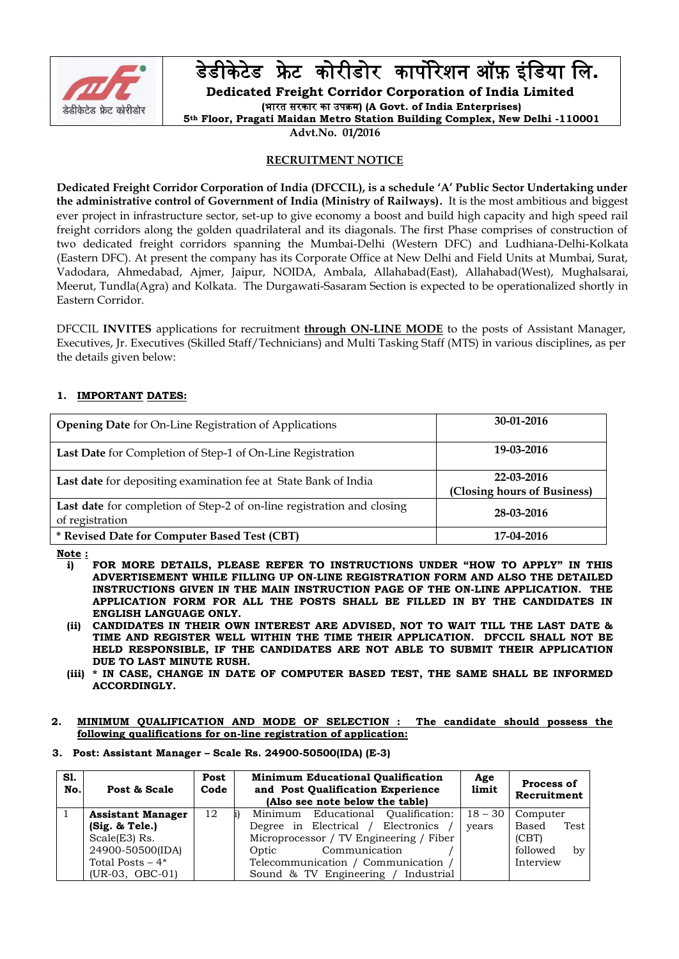

डेडीके टेडफ्रे टकोरीडोरकार्पोरेशन ऑफ़ इंडडया डि**.**

**Dedicated Freight Corridor Corporation of India Limited**

**(**भारत सरकार का उर्पक्रम**) (A Govt. of India Enterprises)**

**5th Floor, Pragati Maidan Metro Station Building Complex, New Delhi -110001**

**Advt.No. 01/2016**

### **RECRUITMENT NOTICE**

**Dedicated Freight Corridor Corporation of India (DFCCIL), is a schedule 'A' Public Sector Undertaking under the administrative control of Government of India (Ministry of Railways).** It is the most ambitious and biggest ever project in infrastructure sector, set-up to give economy a boost and build high capacity and high speed rail freight corridors along the golden quadrilateral and its diagonals. The first Phase comprises of construction of two dedicated freight corridors spanning the Mumbai-Delhi (Western DFC) and Ludhiana-Delhi-Kolkata (Eastern DFC). At present the company has its Corporate Office at New Delhi and Field Units at Mumbai, Surat, Vadodara, Ahmedabad, Ajmer, Jaipur, NOIDA, Ambala, Allahabad(East), Allahabad(West), Mughalsarai, Meerut, Tundla(Agra) and Kolkata. The Durgawati-Sasaram Section is expected to be operationalized shortly in Eastern Corridor.

DFCCIL **INVITES** applications for recruitment **through ON-LINE MODE** to the posts of Assistant Manager, Executives, Jr. Executives (Skilled Staff/Technicians) and Multi Tasking Staff (MTS) in various disciplines, as per the details given below:

# **1. IMPORTANT DATES:**

| <b>Opening Date</b> for On-Line Registration of Applications                              | $30-01-2016$                              |
|-------------------------------------------------------------------------------------------|-------------------------------------------|
| Last Date for Completion of Step-1 of On-Line Registration                                | 19-03-2016                                |
| Last date for depositing examination fee at State Bank of India                           | 22-03-2016<br>(Closing hours of Business) |
| Last date for completion of Step-2 of on-line registration and closing<br>of registration | 28-03-2016                                |
| * Revised Date for Computer Based Test (CBT)                                              | 17-04-2016                                |

**Note :**

- **i) FOR MORE DETAILS, PLEASE REFER TO INSTRUCTIONS UNDER "HOW TO APPLY" IN THIS ADVERTISEMENT WHILE FILLING UP ON-LINE REGISTRATION FORM AND ALSO THE DETAILED INSTRUCTIONS GIVEN IN THE MAIN INSTRUCTION PAGE OF THE ON-LINE APPLICATION. THE APPLICATION FORM FOR ALL THE POSTS SHALL BE FILLED IN BY THE CANDIDATES IN ENGLISH LANGUAGE ONLY.**
- **(ii) CANDIDATES IN THEIR OWN INTEREST ARE ADVISED, NOT TO WAIT TILL THE LAST DATE & TIME AND REGISTER WELL WITHIN THE TIME THEIR APPLICATION. DFCCIL SHALL NOT BE HELD RESPONSIBLE, IF THE CANDIDATES ARE NOT ABLE TO SUBMIT THEIR APPLICATION DUE TO LAST MINUTE RUSH.**
- **(iii) \* IN CASE, CHANGE IN DATE OF COMPUTER BASED TEST, THE SAME SHALL BE INFORMED ACCORDINGLY.**
- **2. MINIMUM QUALIFICATION AND MODE OF SELECTION : The candidate should possess the following qualifications for on-line registration of application:**

### **3. Post: Assistant Manager – Scale Rs. 24900-50500(IDA) (E-3)**

| Sl.<br>No. | Post & Scale             | Post<br>Code | <b>Minimum Educational Qualification</b><br>and Post Qualification Experience<br>(Also see note below the table) | Age<br>limit | Process of<br>Recruitment |
|------------|--------------------------|--------------|------------------------------------------------------------------------------------------------------------------|--------------|---------------------------|
|            | <b>Assistant Manager</b> | 12           | Minimum Educational Qualification:                                                                               | $18 - 30$    | Computer                  |
|            | (Sig. & Tele.)           |              | Degree in Electrical / Electronics                                                                               | years        | Based<br>Test             |
|            | $Scale(E3)$ Rs.          |              | Microprocessor / TV Engineering / Fiber                                                                          |              | (CBT)                     |
|            | 24900-50500(IDA)         |              | Communication<br>Optic                                                                                           |              | followed<br>by            |
|            | Total Posts $-4*$        |              | Telecommunication / Communication                                                                                |              | Interview                 |
|            | $(UR-03, OBC-01)$        |              | Sound & TV Engineering / Industrial                                                                              |              |                           |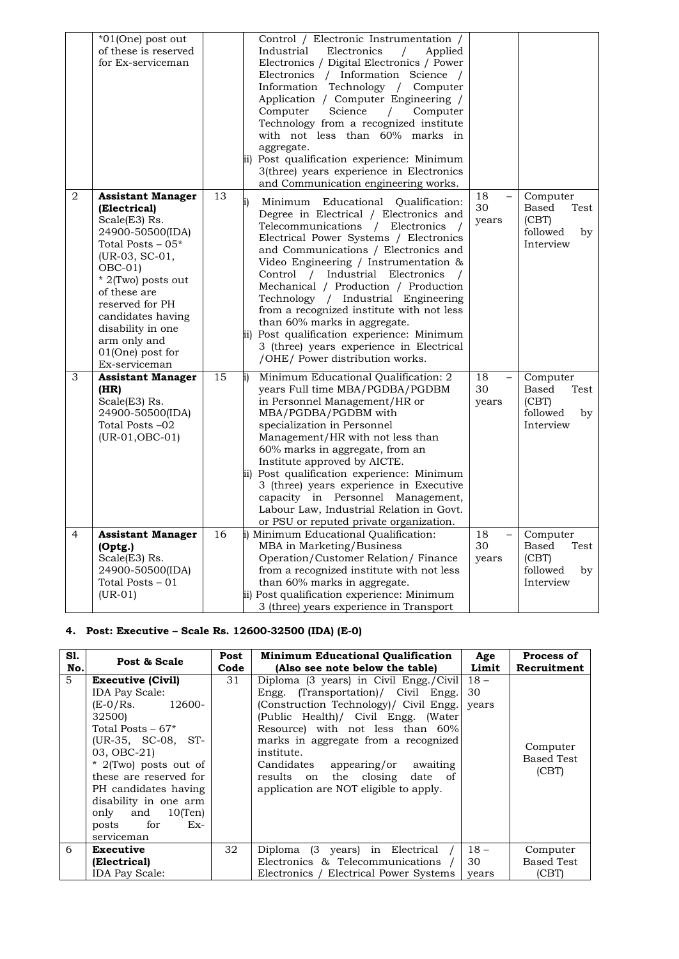|                | *01(One) post out<br>of these is reserved<br>for Ex-serviceman                                                                                                                                                                                                                           |    | Control / Electronic Instrumentation /<br>Industrial<br>Electronics<br>Applied<br>$\prime$<br>Electronics / Digital Electronics / Power<br>Electronics / Information Science /<br>Information Technology / Computer<br>Application / Computer Engineering /<br>Computer<br>Science<br>Computer<br>$\prime$<br>Technology from a recognized institute<br>with not less than 60% marks in<br>aggregate.<br>ii) Post qualification experience: Minimum<br>3(three) years experience in Electronics<br>and Communication engineering works.                                     |                                               |                                                                   |
|----------------|------------------------------------------------------------------------------------------------------------------------------------------------------------------------------------------------------------------------------------------------------------------------------------------|----|-----------------------------------------------------------------------------------------------------------------------------------------------------------------------------------------------------------------------------------------------------------------------------------------------------------------------------------------------------------------------------------------------------------------------------------------------------------------------------------------------------------------------------------------------------------------------------|-----------------------------------------------|-------------------------------------------------------------------|
| $\overline{2}$ | <b>Assistant Manager</b><br>(Electrical)<br>Scale(E3) Rs.<br>24900-50500(IDA)<br>Total Posts – 05*<br>(UR-03, SC-01,<br>$OBC-01$<br>* 2(Two) posts out<br>of these are<br>reserved for PH<br>candidates having<br>disability in one<br>arm only and<br>01(One) post for<br>Ex-serviceman | 13 | Minimum Educational<br>Qualification:<br>Degree in Electrical / Electronics and<br>Telecommunications / Electronics<br>Electrical Power Systems / Electronics<br>and Communications / Electronics and<br>Video Engineering / Instrumentation &<br>Control / Industrial Electronics<br>Mechanical / Production / Production<br>Technology / Industrial Engineering<br>from a recognized institute with not less<br>than 60% marks in aggregate.<br>ii) Post qualification experience: Minimum<br>3 (three) years experience in Electrical<br>/OHE/ Power distribution works. | 18<br>30<br>years                             | Computer<br>Based<br>Test<br>(CBT)<br>followed<br>by<br>Interview |
| 3              | <b>Assistant Manager</b><br>(HR)<br>Scale(E3) Rs.<br>24900-50500(IDA)<br>Total Posts –02<br>$(UR-01, OBC-01)$                                                                                                                                                                            | 15 | Minimum Educational Qualification: 2<br>years Full time MBA/PGDBA/PGDBM<br>in Personnel Management/HR or<br>MBA/PGDBA/PGDBM with<br>specialization in Personnel<br>Management/HR with not less than<br>60% marks in aggregate, from an<br>Institute approved by AICTE.<br>ii) Post qualification experience: Minimum<br>3 (three) years experience in Executive<br>capacity in Personnel Management,<br>Labour Law, Industrial Relation in Govt.<br>or PSU or reputed private organization.                                                                                 | 18<br>$\overline{\phantom{0}}$<br>30<br>years | Computer<br>Based<br>Test<br>(CBT)<br>followed<br>by<br>Interview |
| $\overline{4}$ | <b>Assistant Manager</b><br>(Optg.)<br>Scale(E3) Rs.<br>24900-50500(IDA)<br>Total Posts - 01<br>$(UR-01)$                                                                                                                                                                                | 16 | i) Minimum Educational Qualification:<br>MBA in Marketing/Business<br>Operation/Customer Relation/Finance<br>from a recognized institute with not less<br>than 60% marks in aggregate.<br>ii) Post qualification experience: Minimum<br>3 (three) years experience in Transport                                                                                                                                                                                                                                                                                             | 18<br>$\overline{a}$<br>30<br>years           | Computer<br>Based<br>Test<br>(CBT)<br>followed<br>by<br>Interview |

# **4. Post: Executive – Scale Rs. 12600-32500 (IDA) (E-0)**

| Sl.            | Post & Scale                                                                                                                                                                                                                                                                                               | Post | <b>Minimum Educational Qualification</b>                                                                                                                                                                                                                                                                                                                                             | Age          | Process of                             |
|----------------|------------------------------------------------------------------------------------------------------------------------------------------------------------------------------------------------------------------------------------------------------------------------------------------------------------|------|--------------------------------------------------------------------------------------------------------------------------------------------------------------------------------------------------------------------------------------------------------------------------------------------------------------------------------------------------------------------------------------|--------------|----------------------------------------|
| No.            | Code                                                                                                                                                                                                                                                                                                       |      | (Also see note below the table)                                                                                                                                                                                                                                                                                                                                                      | Limit        | Recruitment                            |
| $\overline{5}$ | <b>Executive (Civil)</b><br><b>IDA Pay Scale:</b><br>$(E-0/Rs.$ 12600-<br>32500)<br>Total Posts $-67*$<br>$(UR-35, SC-08, ST-$<br>03, OBC-21)<br>* 2(Two) posts out of<br>these are reserved for<br>PH candidates having<br>disability in one arm<br>only and 10(Ten)<br>Ex-<br>for<br>posts<br>serviceman | 31   | Diploma (3 years) in Civil Engg./Civil 18 -<br>Engg. (Transportation)/ Civil Engg.<br>(Construction Technology)/ Civil Engg.<br>(Public Health)/ Civil Engg. (Water)<br>Resource) with not less than 60%<br>marks in aggregate from a recognized<br>institute.<br>Candidates<br>appearing/or awaiting<br>results on the closing<br>date of<br>application are NOT eligible to apply. | 30<br>years  | Computer<br><b>Based Test</b><br>(CBT) |
| 6              | Executive<br>(Electrical)                                                                                                                                                                                                                                                                                  | 32   | Diploma (3 years) in Electrical<br>Electronics & Telecommunications                                                                                                                                                                                                                                                                                                                  | $18 -$<br>30 | Computer<br><b>Based Test</b>          |
|                | <b>IDA Pay Scale:</b>                                                                                                                                                                                                                                                                                      |      | Electronics / Electrical Power Systems                                                                                                                                                                                                                                                                                                                                               | years        | (CBT)                                  |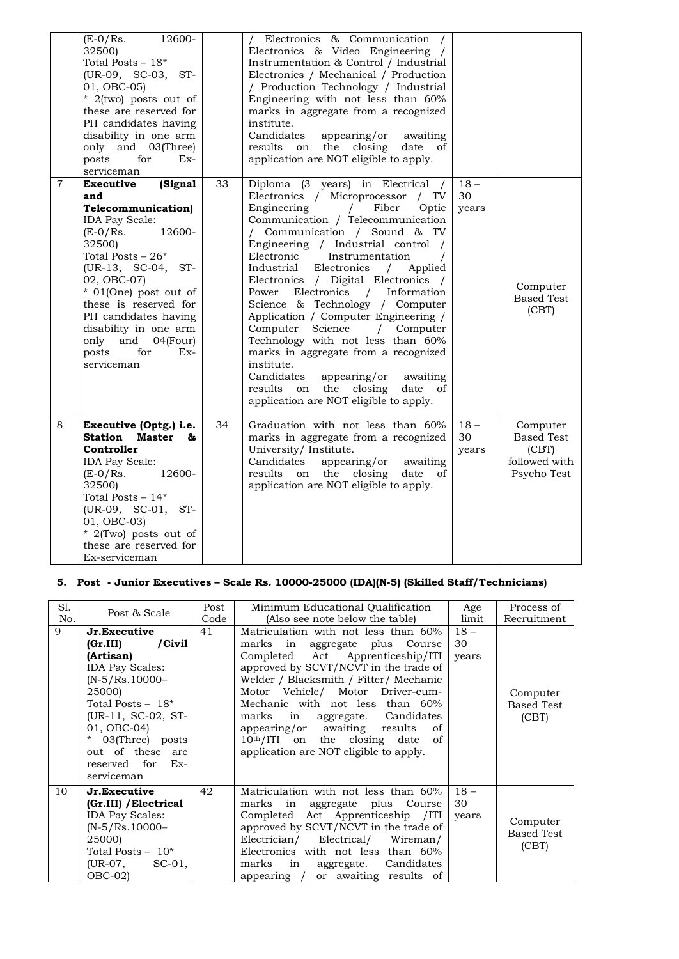|                | $(E-0/Rs)$ .<br>12600-<br>32500)<br>Total Posts $-18*$<br>(UR-09, SC-03, ST-<br>01, OBC-05)<br>* 2(two) posts out of<br>these are reserved for<br>PH candidates having<br>disability in one arm<br>only and 03(Three)<br>posts<br>for<br>$Ex-$<br>serviceman                                                                                                         |    | Electronics & Communication<br>Electronics & Video Engineering /<br>Instrumentation & Control / Industrial<br>Electronics / Mechanical / Production<br>/ Production Technology / Industrial<br>Engineering with not less than 60%<br>marks in aggregate from a recognized<br>institute.<br>Candidates<br>appearing/or<br>awaiting<br>results<br>the<br>closing<br>on<br>date<br>οf<br>application are NOT eligible to apply.                                                                                                                                                                                                                                                                                                                         |                       |                                                                        |
|----------------|----------------------------------------------------------------------------------------------------------------------------------------------------------------------------------------------------------------------------------------------------------------------------------------------------------------------------------------------------------------------|----|------------------------------------------------------------------------------------------------------------------------------------------------------------------------------------------------------------------------------------------------------------------------------------------------------------------------------------------------------------------------------------------------------------------------------------------------------------------------------------------------------------------------------------------------------------------------------------------------------------------------------------------------------------------------------------------------------------------------------------------------------|-----------------------|------------------------------------------------------------------------|
| $\overline{7}$ | (Signal<br><b>Executive</b><br>and<br><b>Telecommunication</b> )<br><b>IDA Pay Scale:</b><br>12600-<br>$(E-0/Rs)$ .<br>32500)<br>Total Posts $-26*$<br>$(UR-13, SC-04,$<br>$ST-$<br>02, OBC-07)<br>* 01(One) post out of<br>these is reserved for<br>PH candidates having<br>disability in one arm<br>only<br>and<br>04(Four)<br>posts<br>for<br>$Ex-$<br>serviceman | 33 | Diploma (3 years) in Electrical /<br>Electronics / Microprocessor / TV<br>Engineering<br>Fiber<br>Optic<br>$\sqrt{2}$<br>Communication / Telecommunication<br>/ Communication / Sound & TV<br>Engineering / Industrial control /<br>Electronic<br>Instrumentation<br>Industrial<br>Electronics<br>Applied<br>$\sqrt{2}$<br>Electronics / Digital Electronics /<br>Electronics / Information<br>Power<br>Science & Technology / Computer<br>Application / Computer Engineering /<br>Science<br>Computer<br>/ Computer<br>Technology with not less than 60%<br>marks in aggregate from a recognized<br>institute.<br>Candidates<br>appearing/or<br>awaiting<br>the<br>closing<br>results<br>on<br>date<br>οf<br>application are NOT eligible to apply. | $18 -$<br>30<br>years | Computer<br><b>Based Test</b><br>(CBT)                                 |
| 8              | Executive (Optg.) i.e.<br><b>Station</b> Master<br>&<br>Controller<br><b>IDA Pay Scale:</b><br>$(E-0/Rs)$ .<br>12600-<br>32500)<br>Total Posts $-14*$<br>(UR-09, SC-01, ST-<br>01, OBC-03)<br>* 2(Two) posts out of<br>these are reserved for<br>Ex-serviceman                                                                                                       | 34 | Graduation with not less than 60%<br>marks in aggregate from a recognized<br>University/ Institute.<br>Candidates<br>appearing/or<br>awaiting<br>the<br>closing<br>results<br>on<br>date<br>οf<br>application are NOT eligible to apply.                                                                                                                                                                                                                                                                                                                                                                                                                                                                                                             | $18 -$<br>30<br>years | Computer<br><b>Based Test</b><br>(CBT)<br>followed with<br>Psycho Test |

# **5. Post - Junior Executives – Scale Rs. 10000-25000 (IDA)(N-5) (Skilled Staff/Technicians)**

| Sl. | Post & Scale                                                                                                                                                                                                                                                    | Post | Minimum Educational Qualification                                                                                                                                                                                                                                                                                                                                                                                          | Age                   | Process of                             |
|-----|-----------------------------------------------------------------------------------------------------------------------------------------------------------------------------------------------------------------------------------------------------------------|------|----------------------------------------------------------------------------------------------------------------------------------------------------------------------------------------------------------------------------------------------------------------------------------------------------------------------------------------------------------------------------------------------------------------------------|-----------------------|----------------------------------------|
| No. |                                                                                                                                                                                                                                                                 | Code | (Also see note below the table)                                                                                                                                                                                                                                                                                                                                                                                            | limit                 | Recruitment                            |
| 9   | Jr.Executive<br>$/C$ ivil<br>(Gr.III)<br>(Artisan)<br><b>IDA Pay Scales:</b><br>$(N-5/Rs.10000-$<br>25000)<br>Total Posts $-18$ *<br>(UR-11, SC-02, ST-<br>01, OBC-04)<br>03(Three) posts<br>$\star$<br>out of these are<br>reserved for<br>$Ex-$<br>serviceman | 41   | Matriculation with not less than 60%<br>marks in aggregate plus Course<br>Completed Act Apprenticeship/ITI<br>approved by SCVT/NCVT in the trade of<br>Welder / Blacksmith / Fitter/ Mechanic<br>Motor Vehicle/ Motor Driver-cum-<br>Mechanic with not less than 60%<br>marks in aggregate. Candidates<br>appearing/or awaiting results<br>of<br>10th/ITI on the closing date of<br>application are NOT eligible to apply. | $18 -$<br>30<br>years | Computer<br><b>Based Test</b><br>(CBT) |
| 10  | Jr.Executive<br>(Gr.III) / Electrical<br><b>IDA Pay Scales:</b><br>$(N-5/Rs.10000-$<br>25000)<br>Total Posts $-10^*$<br>$(UR-07, \text{ SC-}01,$<br>$OBC-02$                                                                                                    | 42   | Matriculation with not less than 60%<br>marks in aggregate plus Course<br>Completed Act Apprenticeship / ITI<br>approved by SCVT/NCVT in the trade of<br>Electrician/ Electrical/ Wireman/<br>Electronics with not less than 60%<br>marks in aggregate. Candidates<br>appearing / or awaiting results of                                                                                                                   | $18 -$<br>30<br>years | Computer<br><b>Based Test</b><br>(CBT) |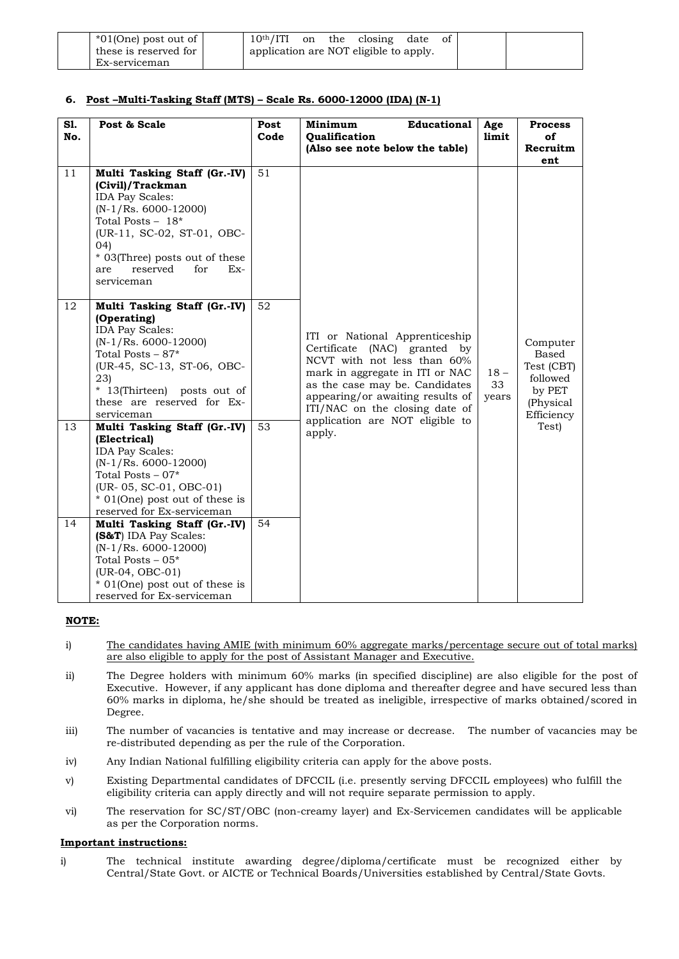| $*01$ (One) post out of | 10 <sup>th</sup> /ITI                  | on | the | closing | date | Οİ |
|-------------------------|----------------------------------------|----|-----|---------|------|----|
| these is reserved for   | application are NOT eligible to apply. |    |     |         |      |    |
| Ex-serviceman           |                                        |    |     |         |      |    |

# **6. Post –Multi-Tasking Staff (MTS) – Scale Rs. 6000-12000 (IDA) (N-1)**

| S1.<br>No. | Post & Scale                                                                                                                                                                                                                                        | Post<br>Code | <b>Educational</b><br>Minimum<br><b>Oualification</b>                                                                                                                                                                                       | Age<br>limit          | <b>Process</b><br>of                                                             |
|------------|-----------------------------------------------------------------------------------------------------------------------------------------------------------------------------------------------------------------------------------------------------|--------------|---------------------------------------------------------------------------------------------------------------------------------------------------------------------------------------------------------------------------------------------|-----------------------|----------------------------------------------------------------------------------|
|            |                                                                                                                                                                                                                                                     |              | (Also see note below the table)                                                                                                                                                                                                             |                       | Recruitm<br>ent                                                                  |
| 11         | Multi Tasking Staff (Gr.-IV)<br>(Civil)/Trackman<br><b>IDA Pay Scales:</b><br>$(N-1/Rs. 6000-12000)$<br>Total Posts $-18*$<br>(UR-11, SC-02, ST-01, OBC-<br>(04)<br>* 03(Three) posts out of these<br>reserved<br>for<br>$Ex-$<br>are<br>serviceman | 51           |                                                                                                                                                                                                                                             |                       |                                                                                  |
| 12         | Multi Tasking Staff (Gr.-IV)<br>(Operating)<br><b>IDA Pay Scales:</b><br>$(N-1/Rs. 6000-12000)$<br>Total Posts $-87*$<br>(UR-45, SC-13, ST-06, OBC-<br>23)<br>* 13(Thirteen) posts out of<br>these are reserved for Ex-<br>serviceman               | 52           | ITI or National Apprenticeship<br>Certificate<br>(NAC) granted by<br>NCVT with not less than 60%<br>mark in aggregate in ITI or NAC<br>as the case may be. Candidates<br>appearing/or awaiting results of<br>ITI/NAC on the closing date of | $18 -$<br>33<br>years | Computer<br>Based<br>Test (CBT)<br>followed<br>by PET<br>(Physical<br>Efficiency |
| 13         | Multi Tasking Staff (Gr.-IV)<br>(Electrical)<br><b>IDA Pay Scales:</b><br>$(N-1/Rs. 6000-12000)$<br>Total Posts $-07*$<br>(UR- 05, SC-01, OBC-01)<br>* 01(One) post out of these is<br>reserved for Ex-serviceman                                   | 53           | application are NOT eligible to<br>apply.                                                                                                                                                                                                   |                       | Test)                                                                            |
| 14         | Multi Tasking Staff (Gr.-IV)<br>(S&T) IDA Pay Scales:<br>$(N-1/Rs. 6000-12000)$<br>Total Posts $-05*$<br>(UR-04, OBC-01)<br>* 01(One) post out of these is<br>reserved for Ex-serviceman                                                            | 54           |                                                                                                                                                                                                                                             |                       |                                                                                  |

### **NOTE:**

- i) The candidates having AMIE (with minimum 60% aggregate marks/percentage secure out of total marks) are also eligible to apply for the post of Assistant Manager and Executive.
- ii) The Degree holders with minimum 60% marks (in specified discipline) are also eligible for the post of Executive. However, if any applicant has done diploma and thereafter degree and have secured less than 60% marks in diploma, he/she should be treated as ineligible, irrespective of marks obtained/scored in Degree.
- iii) The number of vacancies is tentative and may increase or decrease. The number of vacancies may be re-distributed depending as per the rule of the Corporation.
- iv) Any Indian National fulfilling eligibility criteria can apply for the above posts.
- v) Existing Departmental candidates of DFCCIL (i.e. presently serving DFCCIL employees) who fulfill the eligibility criteria can apply directly and will not require separate permission to apply.
- vi) The reservation for SC/ST/OBC (non-creamy layer) and Ex-Servicemen candidates will be applicable as per the Corporation norms.

### **Important instructions:**

i) The technical institute awarding degree/diploma/certificate must be recognized either by Central/State Govt. or AICTE or Technical Boards/Universities established by Central/State Govts.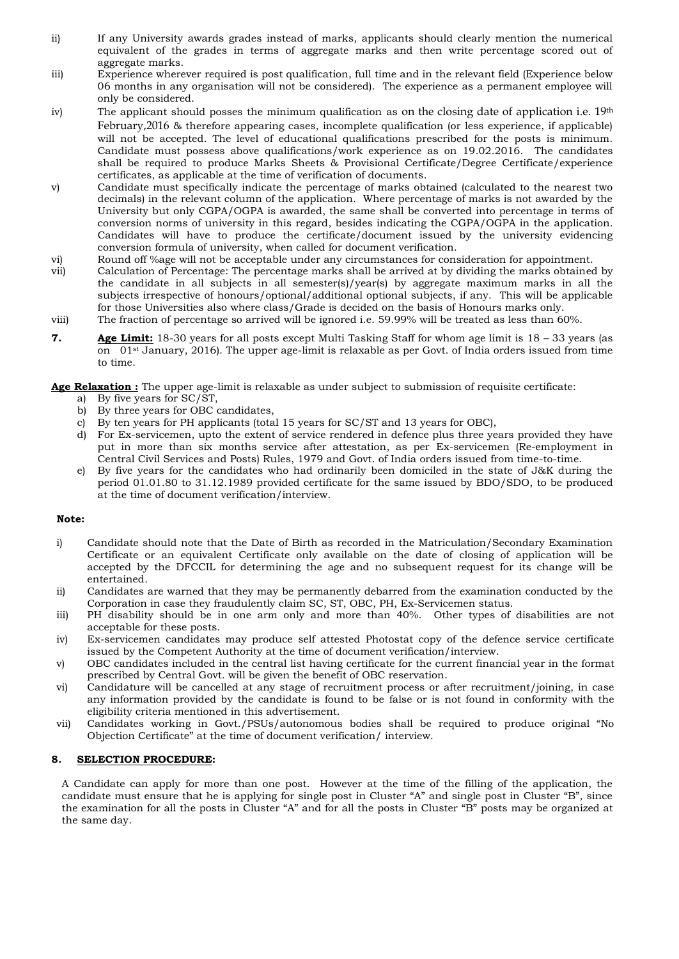- ii) If any University awards grades instead of marks, applicants should clearly mention the numerical equivalent of the grades in terms of aggregate marks and then write percentage scored out of aggregate marks.
- iii) Experience wherever required is post qualification, full time and in the relevant field (Experience below 06 months in any organisation will not be considered). The experience as a permanent employee will only be considered.
- iv) The applicant should posses the minimum qualification as on the closing date of application i.e.  $19<sup>th</sup>$ February,2016 & therefore appearing cases, incomplete qualification (or less experience, if applicable) will not be accepted. The level of educational qualifications prescribed for the posts is minimum. Candidate must possess above qualifications/work experience as on 19.02.2016. The candidates shall be required to produce Marks Sheets & Provisional Certificate/Degree Certificate/experience certificates, as applicable at the time of verification of documents.
- v) Candidate must specifically indicate the percentage of marks obtained (calculated to the nearest two decimals) in the relevant column of the application. Where percentage of marks is not awarded by the University but only CGPA/OGPA is awarded, the same shall be converted into percentage in terms of conversion norms of university in this regard, besides indicating the CGPA/OGPA in the application. Candidates will have to produce the certificate/document issued by the university evidencing conversion formula of university, when called for document verification.
- vi) Round off %age will not be acceptable under any circumstances for consideration for appointment.
- vii) Calculation of Percentage: The percentage marks shall be arrived at by dividing the marks obtained by the candidate in all subjects in all semester(s)/year(s) by aggregate maximum marks in all the subjects irrespective of honours/optional/additional optional subjects, if any. This will be applicable for those Universities also where class/Grade is decided on the basis of Honours marks only. viii) The fraction of percentage so arrived will be ignored i.e. 59.99% will be treated as less than 60%.
- **7. Age Limit:** 18-30 years for all posts except Multi Tasking Staff for whom age limit is 18 33 years (as on 01st January, 2016). The upper age-limit is relaxable as per Govt. of India orders issued from time to time.

**Age Relaxation :** The upper age-limit is relaxable as under subject to submission of requisite certificate:

- a) By five years for SC/ST,
- b) By three years for OBC candidates,
- c) By ten years for PH applicants (total 15 years for SC/ST and 13 years for OBC),
- d) For Ex-servicemen, upto the extent of service rendered in defence plus three years provided they have put in more than six months service after attestation, as per Ex-servicemen (Re-employment in Central Civil Services and Posts) Rules, 1979 and Govt. of India orders issued from time-to-time.
- e) By five years for the candidates who had ordinarily been domiciled in the state of J&K during the period 01.01.80 to 31.12.1989 provided certificate for the same issued by BDO/SDO, to be produced at the time of document verification/interview.

### **Note:**

- i) Candidate should note that the Date of Birth as recorded in the Matriculation/Secondary Examination Certificate or an equivalent Certificate only available on the date of closing of application will be accepted by the DFCCIL for determining the age and no subsequent request for its change will be entertained.
- ii) Candidates are warned that they may be permanently debarred from the examination conducted by the Corporation in case they fraudulently claim SC, ST, OBC, PH, Ex-Servicemen status.
- iii) PH disability should be in one arm only and more than 40%. Other types of disabilities are not acceptable for these posts.
- iv) Ex-servicemen candidates may produce self attested Photostat copy of the defence service certificate issued by the Competent Authority at the time of document verification/interview.
- v) OBC candidates included in the central list having certificate for the current financial year in the format prescribed by Central Govt. will be given the benefit of OBC reservation.
- vi) Candidature will be cancelled at any stage of recruitment process or after recruitment/joining, in case any information provided by the candidate is found to be false or is not found in conformity with the eligibility criteria mentioned in this advertisement.
- vii) Candidates working in Govt./PSUs/autonomous bodies shall be required to produce original "No Objection Certificate" at the time of document verification/ interview.

### **8. SELECTION PROCEDURE:**

A Candidate can apply for more than one post. However at the time of the filling of the application, the candidate must ensure that he is applying for single post in Cluster "A" and single post in Cluster "B", since the examination for all the posts in Cluster "A" and for all the posts in Cluster "B" posts may be organized at the same day.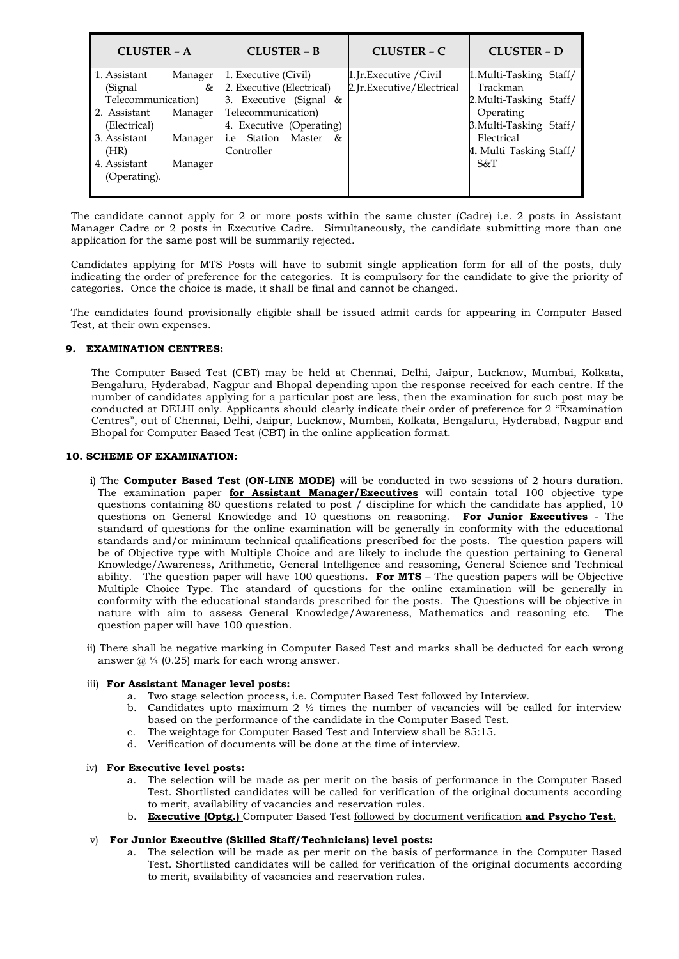| <b>CLUSTER - A</b> |         | <b>CLUSTER - B</b>          | <b>CLUSTER – C</b>        | <b>CLUSTER - D</b>      |
|--------------------|---------|-----------------------------|---------------------------|-------------------------|
| 1. Assistant       | Manager | 1. Executive (Civil)        | 1.Jr.Executive / Civil    | 1. Multi-Tasking Staff/ |
| (Signal)           | &       | 2. Executive (Electrical)   | 2.Jr.Executive/Electrical | Trackman                |
| Telecommunication) |         | 3. Executive (Signal $\&$   |                           | 2. Multi-Tasking Staff/ |
| 2. Assistant       | Manager | Telecommunication)          |                           | Operating               |
| (Electrical)       |         | 4. Executive (Operating)    |                           | 3.Multi-Tasking Staff/  |
| 3. Assistant       | Manager | Station Master<br>&<br>1.e. |                           | Electrical              |
| (HR)               |         | Controller                  |                           | 4. Multi Tasking Staff/ |
| 4. Assistant       | Manager |                             |                           | $S\&T$                  |
| (Operating).       |         |                             |                           |                         |
|                    |         |                             |                           |                         |

The candidate cannot apply for 2 or more posts within the same cluster (Cadre) i.e. 2 posts in Assistant Manager Cadre or 2 posts in Executive Cadre. Simultaneously, the candidate submitting more than one application for the same post will be summarily rejected.

Candidates applying for MTS Posts will have to submit single application form for all of the posts, duly indicating the order of preference for the categories. It is compulsory for the candidate to give the priority of categories. Once the choice is made, it shall be final and cannot be changed.

The candidates found provisionally eligible shall be issued admit cards for appearing in Computer Based Test, at their own expenses.

# **9. EXAMINATION CENTRES:**

The Computer Based Test (CBT) may be held at Chennai, Delhi, Jaipur, Lucknow, Mumbai, Kolkata, Bengaluru, Hyderabad, Nagpur and Bhopal depending upon the response received for each centre. If the number of candidates applying for a particular post are less, then the examination for such post may be conducted at DELHI only. Applicants should clearly indicate their order of preference for 2 "Examination Centres", out of Chennai, Delhi, Jaipur, Lucknow, Mumbai, Kolkata, Bengaluru, Hyderabad, Nagpur and Bhopal for Computer Based Test (CBT) in the online application format.

### **10. SCHEME OF EXAMINATION:**

- i) The **Computer Based Test (ON-LINE MODE)** will be conducted in two sessions of 2 hours duration. The examination paper **for Assistant Manager/Executives** will contain total 100 objective type questions containing 80 questions related to post / discipline for which the candidate has applied, 10 questions on General Knowledge and 10 questions on reasoning. **For Junior Executives** - The standard of questions for the online examination will be generally in conformity with the educational standards and/or minimum technical qualifications prescribed for the posts. The question papers will be of Objective type with Multiple Choice and are likely to include the question pertaining to General Knowledge/Awareness, Arithmetic, General Intelligence and reasoning, General Science and Technical ability. The question paper will have 100 questions**. For MTS** – The question papers will be Objective Multiple Choice Type. The standard of questions for the online examination will be generally in conformity with the educational standards prescribed for the posts. The Questions will be objective in nature with aim to assess General Knowledge/Awareness, Mathematics and reasoning etc. The question paper will have 100 question.
- ii) There shall be negative marking in Computer Based Test and marks shall be deducted for each wrong answer  $@$  ¼ (0.25) mark for each wrong answer.

### iii) **For Assistant Manager level posts:**

- a. Two stage selection process, i.e. Computer Based Test followed by Interview.
- b. Candidates upto maximum 2  $\frac{1}{2}$  times the number of vacancies will be called for interview based on the performance of the candidate in the Computer Based Test.
- c. The weightage for Computer Based Test and Interview shall be 85:15.
- d. Verification of documents will be done at the time of interview.

### iv) **For Executive level posts:**

- a. The selection will be made as per merit on the basis of performance in the Computer Based Test. Shortlisted candidates will be called for verification of the original documents according to merit, availability of vacancies and reservation rules.
- b. **Executive (Optg.)** Computer Based Test followed by document verification **and Psycho Test**.

### v) **For Junior Executive (Skilled Staff/Technicians) level posts:**

a. The selection will be made as per merit on the basis of performance in the Computer Based Test. Shortlisted candidates will be called for verification of the original documents according to merit, availability of vacancies and reservation rules.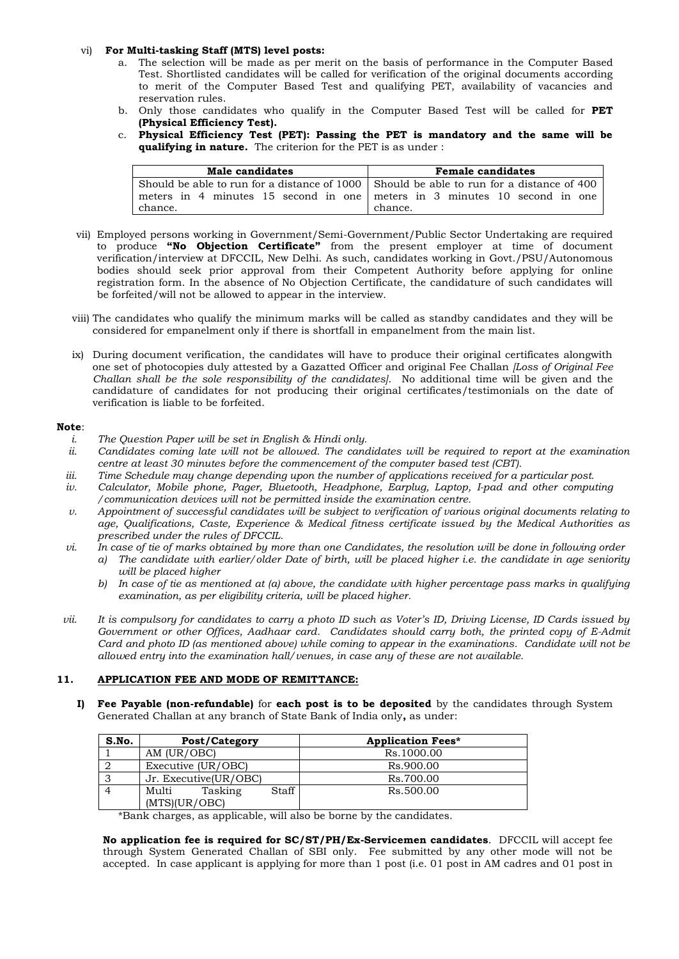### vi) **For Multi-tasking Staff (MTS) level posts:**

- a. The selection will be made as per merit on the basis of performance in the Computer Based Test. Shortlisted candidates will be called for verification of the original documents according to merit of the Computer Based Test and qualifying PET, availability of vacancies and reservation rules.
- b. Only those candidates who qualify in the Computer Based Test will be called for **PET (Physical Efficiency Test).**
- c. **Physical Efficiency Test (PET): Passing the PET is mandatory and the same will be qualifying in nature.** The criterion for the PET is as under :

| Male candidates                                                                          | <b>Female candidates</b> |
|------------------------------------------------------------------------------------------|--------------------------|
| Should be able to run for a distance of 1000 Should be able to run for a distance of 400 |                          |
| meters in 4 minutes 15 second in one meters in 3 minutes 10 second in one                |                          |
| chance.                                                                                  | chance.                  |

- vii) Employed persons working in Government/Semi-Government/Public Sector Undertaking are required to produce **"No Objection Certificate"** from the present employer at time of document verification/interview at DFCCIL, New Delhi. As such, candidates working in Govt./PSU/Autonomous bodies should seek prior approval from their Competent Authority before applying for online registration form. In the absence of No Objection Certificate, the candidature of such candidates will be forfeited/will not be allowed to appear in the interview.
- viii) The candidates who qualify the minimum marks will be called as standby candidates and they will be considered for empanelment only if there is shortfall in empanelment from the main list.
- ix) During document verification, the candidates will have to produce their original certificates alongwith one set of photocopies duly attested by a Gazatted Officer and original Fee Challan *[Loss of Original Fee Challan shall be the sole responsibility of the candidates]*. No additional time will be given and the candidature of candidates for not producing their original certificates/testimonials on the date of verification is liable to be forfeited.

### **Note**:

- *i. The Question Paper will be set in English & Hindi only.*
- *ii. Candidates coming late will not be allowed. The candidates will be required to report at the examination centre at least 30 minutes before the commencement of the computer based test (CBT).*
- *iii. Time Schedule may change depending upon the number of applications received for a particular post.*
- *iv. Calculator, Mobile phone, Pager, Bluetooth, Headphone, Earplug, Laptop, I-pad and other computing /communication devices will not be permitted inside the examination centre.*
- *v. Appointment of successful candidates will be subject to verification of various original documents relating to age, Qualifications, Caste, Experience & Medical fitness certificate issued by the Medical Authorities as prescribed under the rules of DFCCIL.*
- *vi. In case of tie of marks obtained by more than one Candidates, the resolution will be done in following order a) The candidate with earlier/older Date of birth, will be placed higher i.e. the candidate in age seniority* 
	- *will be placed higher b) In case of tie as mentioned at (a) above, the candidate with higher percentage pass marks in qualifying*
	- *examination, as per eligibility criteria, will be placed higher.*
- *vii. It is compulsory for candidates to carry a photo ID such as Voter's ID, Driving License, ID Cards issued by Government or other Offices, Aadhaar card. Candidates should carry both, the printed copy of E-Admit Card and photo ID (as mentioned above) while coming to appear in the examinations. Candidate will not be allowed entry into the examination hall/venues, in case any of these are not available.*

### **11. APPLICATION FEE AND MODE OF REMITTANCE:**

**I) Fee Payable (non-refundable)** for **each post is to be deposited** by the candidates through System Generated Challan at any branch of State Bank of India only**,** as under:

| S.No. | Post/Category                              | <b>Application Fees*</b> |
|-------|--------------------------------------------|--------------------------|
|       | AM (UR/OBC)                                | Rs.1000.00               |
|       | Executive (UR/OBC)                         | Rs.900.00                |
|       | Jr. Executive(UR/OBC)                      | Rs.700.00                |
|       | Staff<br>Multi<br>Tasking<br>(MTS)(UR/OBC) | Rs.500.00                |

\*Bank charges, as applicable, will also be borne by the candidates.

**No application fee is required for SC/ST/PH/Ex-Servicemen candidates**. DFCCIL will accept fee through System Generated Challan of SBI only. Fee submitted by any other mode will not be accepted. In case applicant is applying for more than 1 post (i.e. 01 post in AM cadres and 01 post in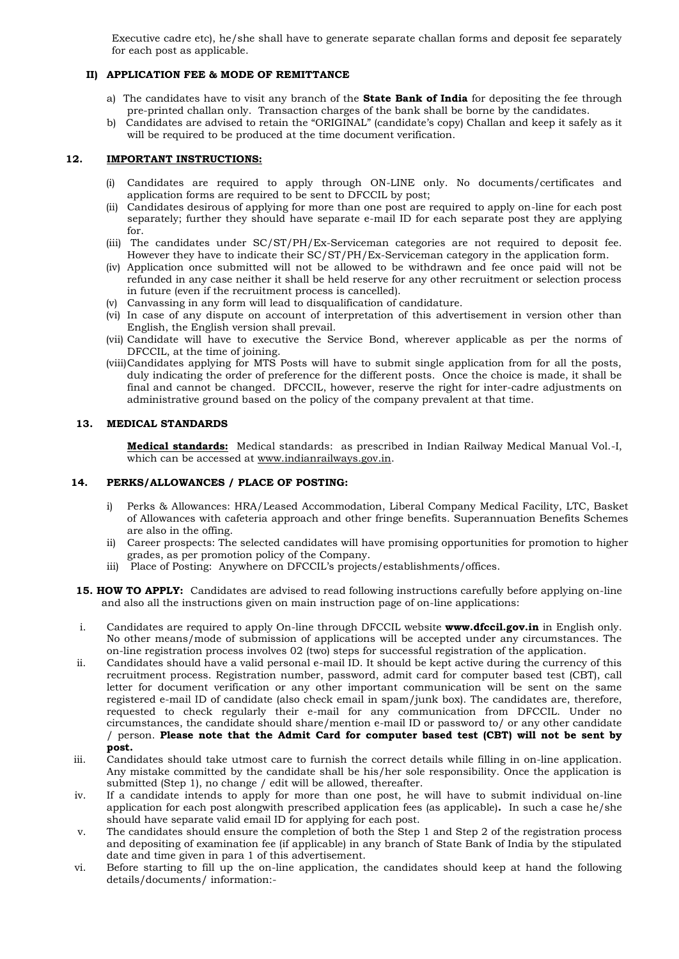Executive cadre etc), he/she shall have to generate separate challan forms and deposit fee separately for each post as applicable.

# **II) APPLICATION FEE & MODE OF REMITTANCE**

- a) The candidates have to visit any branch of the **State Bank of India** for depositing the fee through pre-printed challan only. Transaction charges of the bank shall be borne by the candidates.
- b) Candidates are advised to retain the "ORIGINAL" (candidate's copy) Challan and keep it safely as it will be required to be produced at the time document verification.

### **12. IMPORTANT INSTRUCTIONS:**

- (i) Candidates are required to apply through ON-LINE only. No documents/certificates and application forms are required to be sent to DFCCIL by post;
- (ii) Candidates desirous of applying for more than one post are required to apply on-line for each post separately; further they should have separate e-mail ID for each separate post they are applying for.
- (iii) The candidates under SC/ST/PH/Ex-Serviceman categories are not required to deposit fee. However they have to indicate their SC/ST/PH/Ex-Serviceman category in the application form.
- (iv) Application once submitted will not be allowed to be withdrawn and fee once paid will not be refunded in any case neither it shall be held reserve for any other recruitment or selection process in future (even if the recruitment process is cancelled).
- (v) Canvassing in any form will lead to disqualification of candidature.
- (vi) In case of any dispute on account of interpretation of this advertisement in version other than English, the English version shall prevail.
- (vii) Candidate will have to executive the Service Bond, wherever applicable as per the norms of DFCCIL, at the time of joining.
- (viii)Candidates applying for MTS Posts will have to submit single application from for all the posts, duly indicating the order of preference for the different posts. Once the choice is made, it shall be final and cannot be changed. DFCCIL, however, reserve the right for inter-cadre adjustments on administrative ground based on the policy of the company prevalent at that time.

### **13. MEDICAL STANDARDS**

**Medical standards:** Medical standards: as prescribed in Indian Railway Medical Manual Vol.-I, which can be accessed at [www.indianrailways.gov.in.](http://www.indianrailways.gov.in/)

### **14. PERKS/ALLOWANCES / PLACE OF POSTING:**

- i) Perks & Allowances: HRA/Leased Accommodation, Liberal Company Medical Facility, LTC, Basket of Allowances with cafeteria approach and other fringe benefits. Superannuation Benefits Schemes are also in the offing.
- ii) Career prospects: The selected candidates will have promising opportunities for promotion to higher grades, as per promotion policy of the Company.
- iii) Place of Posting: Anywhere on DFCCIL's projects/establishments/offices.
- **15. HOW TO APPLY:** Candidates are advised to read following instructions carefully before applying on-line and also all the instructions given on main instruction page of on-line applications:
- i. Candidates are required to apply On-line through DFCCIL website **www.dfccil.gov.in** in English only. No other means/mode of submission of applications will be accepted under any circumstances. The on-line registration process involves 02 (two) steps for successful registration of the application.
- ii. Candidates should have a valid personal e-mail ID. It should be kept active during the currency of this recruitment process. Registration number, password, admit card for computer based test (CBT), call letter for document verification or any other important communication will be sent on the same registered e-mail ID of candidate (also check email in spam/junk box). The candidates are, therefore, requested to check regularly their e-mail for any communication from DFCCIL. Under no circumstances, the candidate should share/mention e-mail ID or password to/ or any other candidate / person. **Please note that the Admit Card for computer based test (CBT) will not be sent by post.**
- iii. Candidates should take utmost care to furnish the correct details while filling in on-line application. Any mistake committed by the candidate shall be his/her sole responsibility. Once the application is submitted (Step 1), no change / edit will be allowed, thereafter.
- iv. If a candidate intends to apply for more than one post, he will have to submit individual on-line application for each post alongwith prescribed application fees (as applicable)**.** In such a case he/she should have separate valid email ID for applying for each post.
- v. The candidates should ensure the completion of both the Step 1 and Step 2 of the registration process and depositing of examination fee (if applicable) in any branch of State Bank of India by the stipulated date and time given in para 1 of this advertisement.
- vi. Before starting to fill up the on-line application, the candidates should keep at hand the following details/documents/ information:-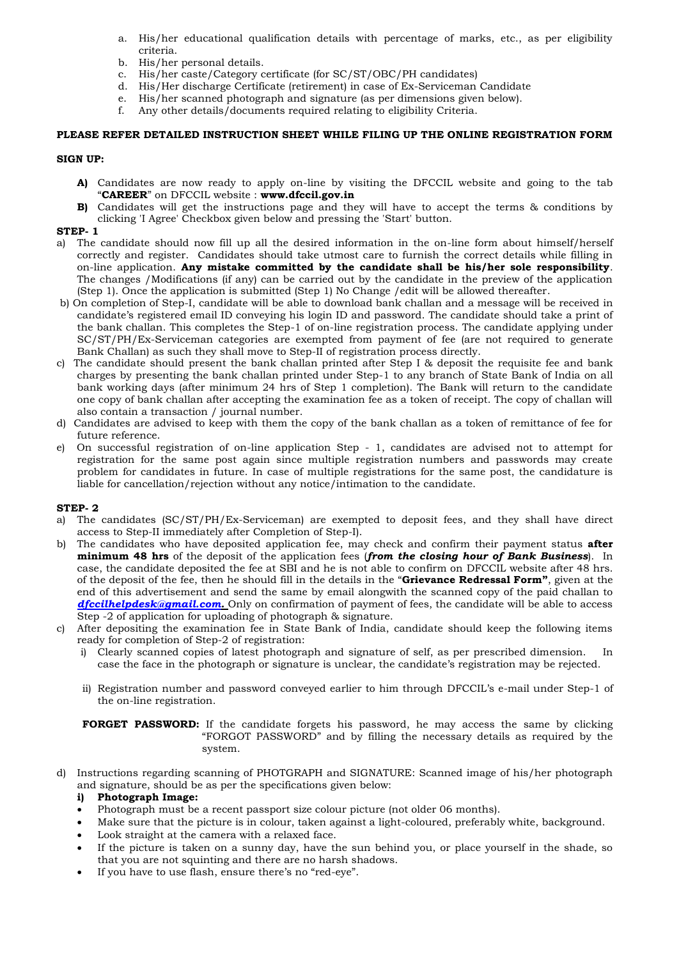- a. His/her educational qualification details with percentage of marks, etc., as per eligibility criteria.
- b. His/her personal details.
- c. His/her caste/Category certificate (for SC/ST/OBC/PH candidates)
- d. His/Her discharge Certificate (retirement) in case of Ex-Serviceman Candidate
- e. His/her scanned photograph and signature (as per dimensions given below).
- f. Any other details/documents required relating to eligibility Criteria.

### **PLEASE REFER DETAILED INSTRUCTION SHEET WHILE FILING UP THE ONLINE REGISTRATION FORM**

### **SIGN UP:**

- **A)** Candidates are now ready to apply on-line by visiting the DFCCIL website and going to the tab "**CAREER**" on DFCCIL website : **www.dfccil.gov.in**
- **B)** Candidates will get the instructions page and they will have to accept the terms & conditions by clicking 'I Agree' Checkbox given below and pressing the 'Start' button.

### **STEP- 1**

- a) The candidate should now fill up all the desired information in the on-line form about himself/herself correctly and register. Candidates should take utmost care to furnish the correct details while filling in on-line application. **Any mistake committed by the candidate shall be his/her sole responsibility**. The changes /Modifications (if any) can be carried out by the candidate in the preview of the application (Step 1). Once the application is submitted (Step 1) No Change /edit will be allowed thereafter.
- b) On completion of Step-I, candidate will be able to download bank challan and a message will be received in candidate's registered email ID conveying his login ID and password. The candidate should take a print of the bank challan. This completes the Step-1 of on-line registration process. The candidate applying under SC/ST/PH/Ex-Serviceman categories are exempted from payment of fee (are not required to generate Bank Challan) as such they shall move to Step-II of registration process directly.
- c) The candidate should present the bank challan printed after Step I & deposit the requisite fee and bank charges by presenting the bank challan printed under Step-1 to any branch of State Bank of India on all bank working days (after minimum 24 hrs of Step 1 completion). The Bank will return to the candidate one copy of bank challan after accepting the examination fee as a token of receipt. The copy of challan will also contain a transaction / journal number.
- d) Candidates are advised to keep with them the copy of the bank challan as a token of remittance of fee for future reference.
- e) On successful registration of on-line application Step 1, candidates are advised not to attempt for registration for the same post again since multiple registration numbers and passwords may create problem for candidates in future. In case of multiple registrations for the same post, the candidature is liable for cancellation/rejection without any notice/intimation to the candidate.

### **STEP- 2**

- a) The candidates (SC/ST/PH/Ex-Serviceman) are exempted to deposit fees, and they shall have direct access to Step-II immediately after Completion of Step-I).
- b) The candidates who have deposited application fee, may check and confirm their payment status **after minimum 48 hrs** of the deposit of the application fees (*from the closing hour of Bank Business*). In case, the candidate deposited the fee at SBI and he is not able to confirm on DFCCIL website after 48 hrs. of the deposit of the fee, then he should fill in the details in the "**Grievance Redressal Form"**, given at the end of this advertisement and send the same by email alongwith the scanned copy of the paid challan to *dfcci[lhelpdesk@gmail.com.](mailto:helpdesk@gmail.com)* Only on confirmation of payment of fees, the candidate will be able to access Step -2 of application for uploading of photograph & signature.
- After depositing the examination fee in State Bank of India, candidate should keep the following items ready for completion of Step-2 of registration:
	- i) Clearly scanned copies of latest photograph and signature of self, as per prescribed dimension. In case the face in the photograph or signature is unclear, the candidate's registration may be rejected.
	- ii) Registration number and password conveyed earlier to him through DFCCIL's e-mail under Step-1 of the on-line registration.

**FORGET PASSWORD:** If the candidate forgets his password, he may access the same by clicking "FORGOT PASSWORD" and by filling the necessary details as required by the system.

d) Instructions regarding scanning of PHOTGRAPH and SIGNATURE: Scanned image of his/her photograph and signature, should be as per the specifications given below:

### **i) Photograph Image:**

- Photograph must be a recent passport size colour picture (not older 06 months).
- Make sure that the picture is in colour, taken against a light-coloured, preferably white, background.
- Look straight at the camera with a relaxed face.
- If the picture is taken on a sunny day, have the sun behind you, or place yourself in the shade, so that you are not squinting and there are no harsh shadows.
- If you have to use flash, ensure there's no "red-eye".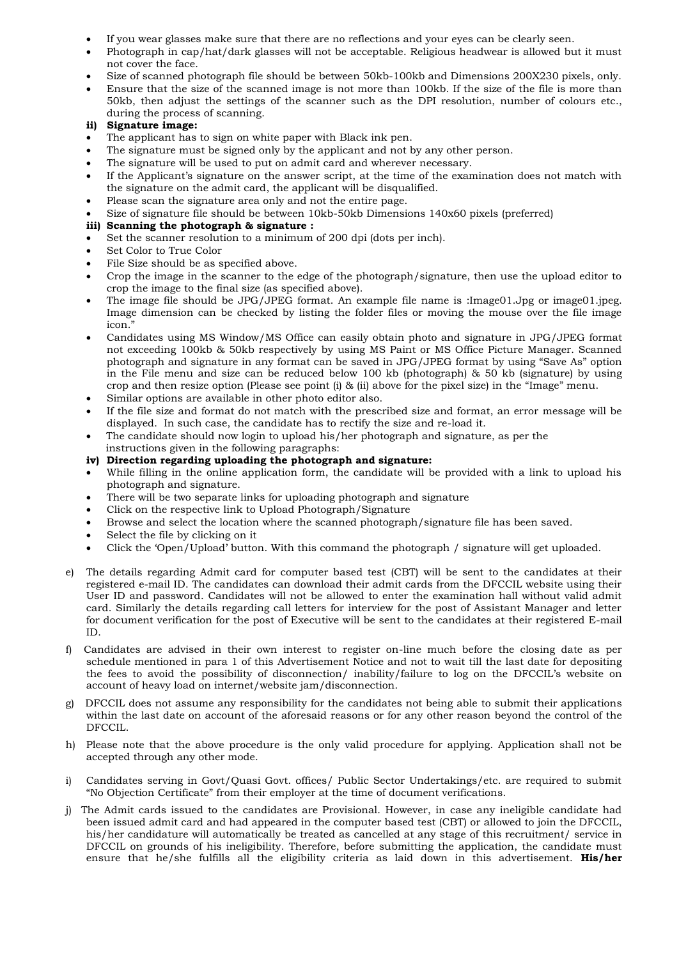- If you wear glasses make sure that there are no reflections and your eyes can be clearly seen.
- Photograph in cap/hat/dark glasses will not be acceptable. Religious headwear is allowed but it must not cover the face.
- Size of scanned photograph file should be between 50kb-100kb and Dimensions 200X230 pixels, only.
- Ensure that the size of the scanned image is not more than 100kb. If the size of the file is more than 50kb, then adjust the settings of the scanner such as the DPI resolution, number of colours etc., during the process of scanning.

### **ii) Signature image:**

- The applicant has to sign on white paper with Black ink pen.
- The signature must be signed only by the applicant and not by any other person.
- The signature will be used to put on admit card and wherever necessary.
- If the Applicant's signature on the answer script, at the time of the examination does not match with the signature on the admit card, the applicant will be disqualified.
- Please scan the signature area only and not the entire page.
- Size of signature file should be between 10kb-50kb Dimensions 140x60 pixels (preferred)

# **iii) Scanning the photograph & signature :**

- Set the scanner resolution to a minimum of 200 dpi (dots per inch).
- Set Color to True Color
- File Size should be as specified above.
- Crop the image in the scanner to the edge of the photograph/signature, then use the upload editor to crop the image to the final size (as specified above).
- The image file should be JPG/JPEG format. An example file name is :Image01.Jpg or image01.jpeg. Image dimension can be checked by listing the folder files or moving the mouse over the file image icon."
- Candidates using MS Window/MS Office can easily obtain photo and signature in JPG/JPEG format not exceeding 100kb & 50kb respectively by using MS Paint or MS Office Picture Manager. Scanned photograph and signature in any format can be saved in JPG/JPEG format by using "Save As" option in the File menu and size can be reduced below 100 kb (photograph) & 50 kb (signature) by using crop and then resize option (Please see point (i) & (ii) above for the pixel size) in the "Image" menu.
- Similar options are available in other photo editor also.
- If the file size and format do not match with the prescribed size and format, an error message will be displayed. In such case, the candidate has to rectify the size and re-load it.
- The candidate should now login to upload his/her photograph and signature, as per the
- instructions given in the following paragraphs:
- **iv) Direction regarding uploading the photograph and signature:**
- While filling in the online application form, the candidate will be provided with a link to upload his photograph and signature.
- There will be two separate links for uploading photograph and signature
- Click on the respective link to Upload Photograph/Signature
- Browse and select the location where the scanned photograph/signature file has been saved.
- Select the file by clicking on it
- Click the 'Open/Upload' button. With this command the photograph / signature will get uploaded.
- e) The details regarding Admit card for computer based test (CBT) will be sent to the candidates at their registered e-mail ID. The candidates can download their admit cards from the DFCCIL website using their User ID and password. Candidates will not be allowed to enter the examination hall without valid admit card. Similarly the details regarding call letters for interview for the post of Assistant Manager and letter for document verification for the post of Executive will be sent to the candidates at their registered E-mail ID.
- f) Candidates are advised in their own interest to register on-line much before the closing date as per schedule mentioned in para 1 of this Advertisement Notice and not to wait till the last date for depositing the fees to avoid the possibility of disconnection/ inability/failure to log on the DFCCIL's website on account of heavy load on internet/website jam/disconnection.
- g) DFCCIL does not assume any responsibility for the candidates not being able to submit their applications within the last date on account of the aforesaid reasons or for any other reason beyond the control of the DFCCIL.
- h) Please note that the above procedure is the only valid procedure for applying. Application shall not be accepted through any other mode.
- i) Candidates serving in Govt/Quasi Govt. offices/ Public Sector Undertakings/etc. are required to submit "No Objection Certificate" from their employer at the time of document verifications.
- j) The Admit cards issued to the candidates are Provisional. However, in case any ineligible candidate had been issued admit card and had appeared in the computer based test (CBT) or allowed to join the DFCCIL, his/her candidature will automatically be treated as cancelled at any stage of this recruitment/ service in DFCCIL on grounds of his ineligibility. Therefore, before submitting the application, the candidate must ensure that he/she fulfills all the eligibility criteria as laid down in this advertisement. **His/her**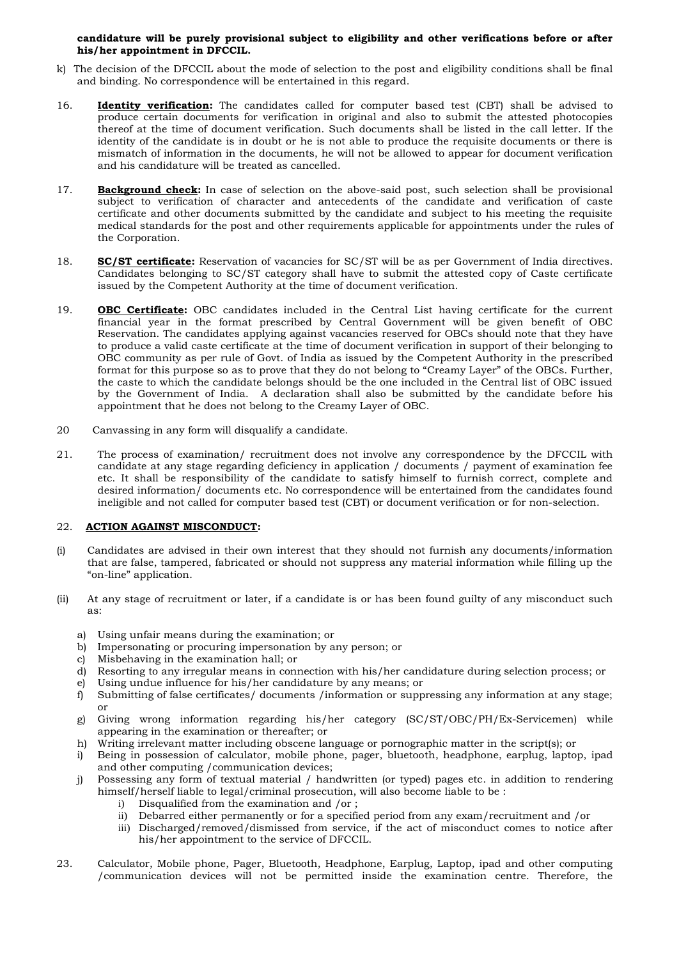### **candidature will be purely provisional subject to eligibility and other verifications before or after his/her appointment in DFCCIL.**

- k) The decision of the DFCCIL about the mode of selection to the post and eligibility conditions shall be final and binding. No correspondence will be entertained in this regard.
- 16. **Identity verification:** The candidates called for computer based test (CBT) shall be advised to produce certain documents for verification in original and also to submit the attested photocopies thereof at the time of document verification. Such documents shall be listed in the call letter. If the identity of the candidate is in doubt or he is not able to produce the requisite documents or there is mismatch of information in the documents, he will not be allowed to appear for document verification and his candidature will be treated as cancelled.
- 17. **Background check:** In case of selection on the above-said post, such selection shall be provisional subject to verification of character and antecedents of the candidate and verification of caste certificate and other documents submitted by the candidate and subject to his meeting the requisite medical standards for the post and other requirements applicable for appointments under the rules of the Corporation.
- 18. **SC/ST certificate:** Reservation of vacancies for SC/ST will be as per Government of India directives. Candidates belonging to SC/ST category shall have to submit the attested copy of Caste certificate issued by the Competent Authority at the time of document verification.
- 19. **OBC Certificate:** OBC candidates included in the Central List having certificate for the current financial year in the format prescribed by Central Government will be given benefit of OBC Reservation. The candidates applying against vacancies reserved for OBCs should note that they have to produce a valid caste certificate at the time of document verification in support of their belonging to OBC community as per rule of Govt. of India as issued by the Competent Authority in the prescribed format for this purpose so as to prove that they do not belong to "Creamy Layer" of the OBCs. Further, the caste to which the candidate belongs should be the one included in the Central list of OBC issued by the Government of India. A declaration shall also be submitted by the candidate before his appointment that he does not belong to the Creamy Layer of OBC.
- 20 Canvassing in any form will disqualify a candidate.
- 21. The process of examination/ recruitment does not involve any correspondence by the DFCCIL with candidate at any stage regarding deficiency in application / documents / payment of examination fee etc. It shall be responsibility of the candidate to satisfy himself to furnish correct, complete and desired information/ documents etc. No correspondence will be entertained from the candidates found ineligible and not called for computer based test (CBT) or document verification or for non-selection.

### 22. **ACTION AGAINST MISCONDUCT:**

- (i) Candidates are advised in their own interest that they should not furnish any documents/information that are false, tampered, fabricated or should not suppress any material information while filling up the "on-line" application.
- (ii) At any stage of recruitment or later, if a candidate is or has been found guilty of any misconduct such as:
	- a) Using unfair means during the examination; or
	- b) Impersonating or procuring impersonation by any person; or
	- c) Misbehaving in the examination hall; or
	- d) Resorting to any irregular means in connection with his/her candidature during selection process; or
	- e) Using undue influence for his/her candidature by any means; or
	- f) Submitting of false certificates/ documents /information or suppressing any information at any stage; or
	- g) Giving wrong information regarding his/her category (SC/ST/OBC/PH/Ex-Servicemen) while appearing in the examination or thereafter; or
	- h) Writing irrelevant matter including obscene language or pornographic matter in the script(s); or
	- i) Being in possession of calculator, mobile phone, pager, bluetooth, headphone, earplug, laptop, ipad and other computing /communication devices;
	- j) Possessing any form of textual material / handwritten (or typed) pages etc. in addition to rendering himself/herself liable to legal/criminal prosecution, will also become liable to be :
		- i) Disqualified from the examination and /or ;
		- ii) Debarred either permanently or for a specified period from any exam/recruitment and /or
		- iii) Discharged/removed/dismissed from service, if the act of misconduct comes to notice after his/her appointment to the service of DFCCIL.
- 23. Calculator, Mobile phone, Pager, Bluetooth, Headphone, Earplug, Laptop, ipad and other computing /communication devices will not be permitted inside the examination centre. Therefore, the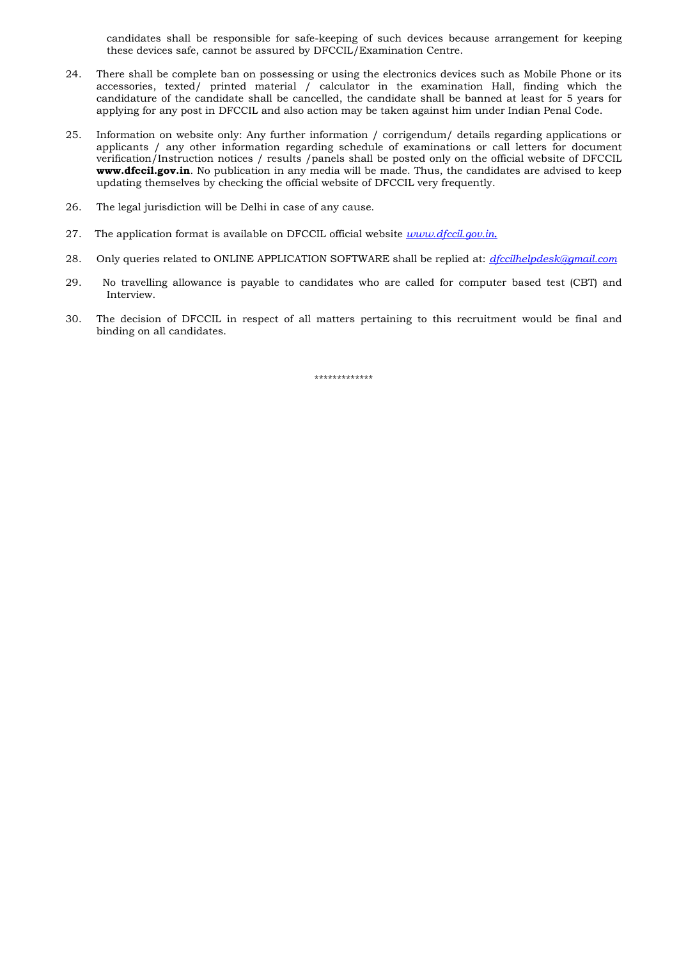candidates shall be responsible for safe-keeping of such devices because arrangement for keeping these devices safe, cannot be assured by DFCCIL/Examination Centre.

- 24. There shall be complete ban on possessing or using the electronics devices such as Mobile Phone or its accessories, texted/ printed material / calculator in the examination Hall, finding which the candidature of the candidate shall be cancelled, the candidate shall be banned at least for 5 years for applying for any post in DFCCIL and also action may be taken against him under Indian Penal Code.
- 25. Information on website only: Any further information / corrigendum/ details regarding applications or applicants / any other information regarding schedule of examinations or call letters for document verification/Instruction notices / results /panels shall be posted only on the official website of DFCCIL **www.dfccil.gov.in**. No publication in any media will be made. Thus, the candidates are advised to keep updating themselves by checking the official website of DFCCIL very frequently.
- 26. The legal jurisdiction will be Delhi in case of any cause.
- 27. The application format is available on DFCCIL official website *www.dfccil.gov.in.*
- 28. Only queries related to ONLINE APPLICATION SOFTWARE shall be replied at: *dfcci[lhelpdesk@gmail.com](mailto:helpdesk@gmail.com)*
- 29. No travelling allowance is payable to candidates who are called for computer based test (CBT) and Interview.
- 30. The decision of DFCCIL in respect of all matters pertaining to this recruitment would be final and binding on all candidates.

\*\*\*\*\*\*\*\*\*\*\*\*\*